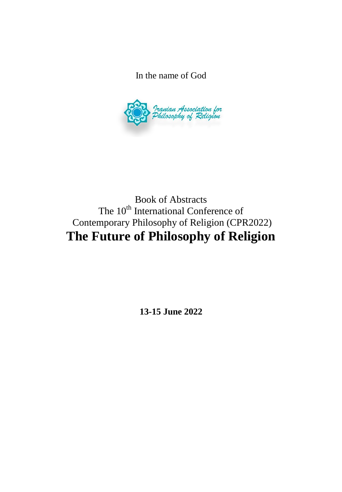In the name of God



Book of Abstracts The 10<sup>th</sup> International Conference of Contemporary Philosophy of Religion (CPR2022) **The Future of Philosophy of Religion**

**13-15 June 2022**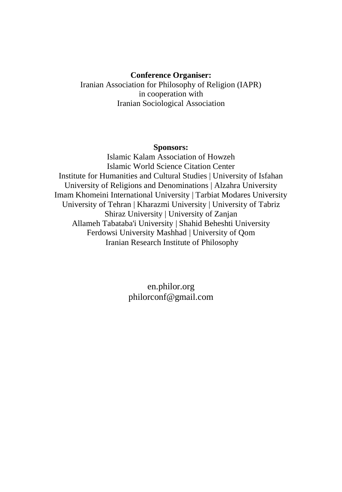#### **Conference Organiser:**

Iranian Association for Philosophy of Religion (IAPR) in cooperation with Iranian Sociological Association

### **Sponsors:**

Islamic Kalam Association of Howzeh Islamic World Science Citation Center Institute for Humanities and Cultural Studies | University of Isfahan University of Religions and Denominations | Alzahra University Imam Khomeini International University | Tarbiat Modares University University of Tehran | Kharazmi University | University of Tabriz Shiraz University | University of Zanjan Allameh Tabataba'i University | Shahid Beheshti University Ferdowsi University Mashhad | University of Qom Iranian Research Institute of Philosophy

> en.philor.org philorconf@gmail.com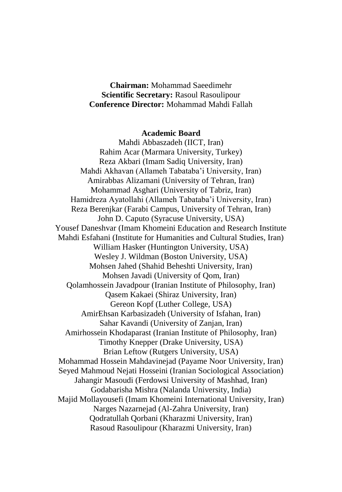**Chairman:** Mohammad Saeedimehr **Scientific Secretary:** Rasoul Rasoulipour **Conference Director:** Mohammad Mahdi Fallah

### **Academic Board**

Mahdi Abbaszadeh (IICT, Iran) Rahim Acar (Marmara University, Turkey) Reza Akbari (Imam Sadiq University, Iran) Mahdi Akhavan (Allameh Tabataba'i University, Iran) Amirabbas Alizamani (University of Tehran, Iran) Mohammad Asghari (University of Tabriz, Iran) Hamidreza Ayatollahi (Allameh Tabataba'i University, Iran) Reza Berenjkar (Farabi Campus, University of Tehran, Iran) John D. Caputo (Syracuse University, USA) Yousef Daneshvar (Imam Khomeini Education and Research Institute Mahdi Esfahani (Institute for Humanities and Cultural Studies, Iran) William Hasker (Huntington University, USA) Wesley J. Wildman (Boston University, USA) Mohsen Jahed (Shahid Beheshti University, Iran) Mohsen Javadi (University of Qom, Iran) Qolamhossein Javadpour (Iranian Institute of Philosophy, Iran) Qasem Kakaei (Shiraz University, Iran) Gereon Kopf (Luther College, USA) AmirEhsan Karbasizadeh (University of Isfahan, Iran) Sahar Kavandi (University of Zanjan, Iran) Amirhossein Khodaparast (Iranian Institute of Philosophy, Iran) Timothy Knepper (Drake University, USA) Brian Leftow (Rutgers University, USA) Mohammad Hossein Mahdavinejad (Payame Noor University, Iran) Seyed Mahmoud Nejati Hosseini (Iranian Sociological Association) Jahangir Masoudi (Ferdowsi University of Mashhad, Iran) Godabarisha Mishra (Nalanda University, India) Majid Mollayousefi (Imam Khomeini International University, Iran) Narges Nazarnejad (Al-Zahra University, Iran) Qodratullah Qorbani (Kharazmi University, Iran) Rasoud Rasoulipour (Kharazmi University, Iran)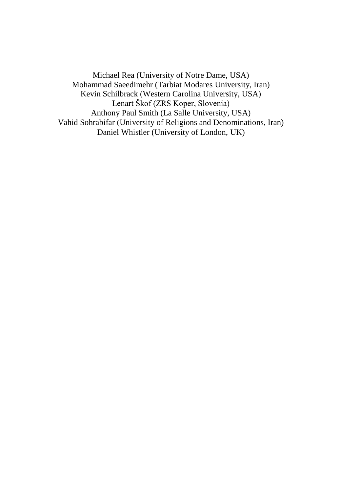Michael Rea (University of Notre Dame, USA) Mohammad Saeedimehr (Tarbiat Modares University, Iran) Kevin Schilbrack (Western Carolina University, USA) Lenart Škof (ZRS Koper, Slovenia) Anthony Paul Smith (La Salle University, USA) Vahid Sohrabifar (University of Religions and Denominations, Iran) Daniel Whistler (University of London, UK)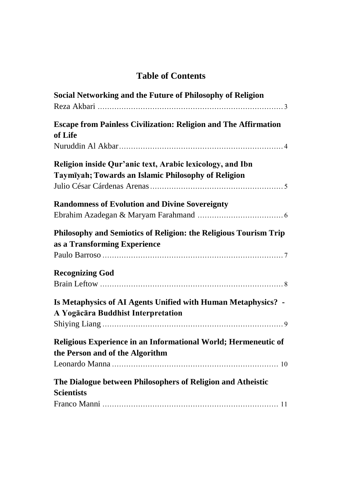# **Table of Contents**

| Social Networking and the Future of Philosophy of Religion                                                       |
|------------------------------------------------------------------------------------------------------------------|
| <b>Escape from Painless Civilization: Religion and The Affirmation</b><br>of Life                                |
|                                                                                                                  |
| Religion inside Qur'anic text, Arabic lexicology, and Ibn<br>Taymīyah; Towards an Islamic Philosophy of Religion |
| <b>Randomness of Evolution and Divine Sovereignty</b>                                                            |
|                                                                                                                  |
| Philosophy and Semiotics of Religion: the Religious Tourism Trip<br>as a Transforming Experience                 |
|                                                                                                                  |
| <b>Recognizing God</b>                                                                                           |
|                                                                                                                  |
| Is Metaphysics of AI Agents Unified with Human Metaphysics? -<br>A Yogācāra Buddhist Interpretation              |
| Religious Experience in an Informational World; Hermeneutic of<br>the Person and of the Algorithm                |
| The Dialogue between Philosophers of Religion and Atheistic<br><b>Scientists</b>                                 |
|                                                                                                                  |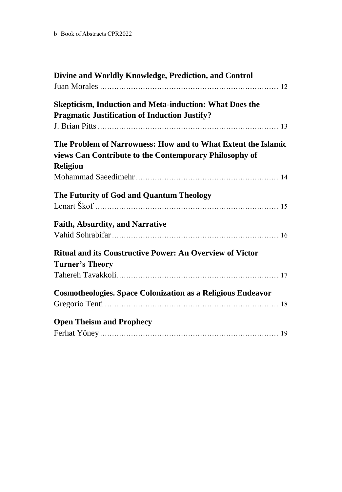| Divine and Worldly Knowledge, Prediction, and Control                              |  |
|------------------------------------------------------------------------------------|--|
| <b>Skepticism, Induction and Meta-induction: What Does the</b>                     |  |
| <b>Pragmatic Justification of Induction Justify?</b>                               |  |
|                                                                                    |  |
| The Problem of Narrowness: How and to What Extent the Islamic                      |  |
| views Can Contribute to the Contemporary Philosophy of                             |  |
| <b>Religion</b>                                                                    |  |
|                                                                                    |  |
| The Futurity of God and Quantum Theology                                           |  |
|                                                                                    |  |
| Faith, Absurdity, and Narrative                                                    |  |
|                                                                                    |  |
| Ritual and its Constructive Power: An Overview of Victor<br><b>Turner's Theory</b> |  |
|                                                                                    |  |
| <b>Cosmotheologies. Space Colonization as a Religious Endeavor</b>                 |  |
|                                                                                    |  |
| <b>Open Theism and Prophecy</b>                                                    |  |
|                                                                                    |  |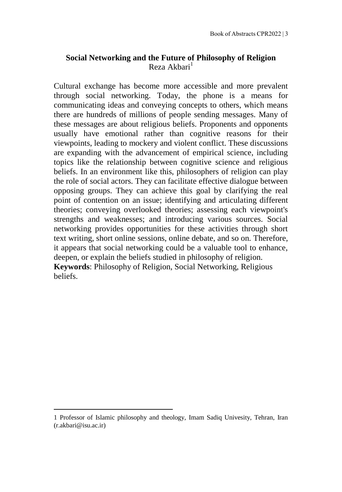# <span id="page-8-0"></span>**Social Networking and the Future of Philosophy of Religion**  $R$ eza Akhari $<sup>1</sup>$ </sup>

Cultural exchange has become more accessible and more prevalent through social networking. Today, the phone is a means for communicating ideas and conveying concepts to others, which means there are hundreds of millions of people sending messages. Many of these messages are about religious beliefs. Proponents and opponents usually have emotional rather than cognitive reasons for their viewpoints, leading to mockery and violent conflict. These discussions are expanding with the advancement of empirical science, including topics like the relationship between cognitive science and religious beliefs. In an environment like this, philosophers of religion can play the role of social actors. They can facilitate effective dialogue between opposing groups. They can achieve this goal by clarifying the real point of contention on an issue; identifying and articulating different theories; conveying overlooked theories; assessing each viewpoint's strengths and weaknesses; and introducing various sources. Social networking provides opportunities for these activities through short text writing, short online sessions, online debate, and so on. Therefore, it appears that social networking could be a valuable tool to enhance, deepen, or explain the beliefs studied in philosophy of religion.

**Keywords**: Philosophy of Religion, Social Networking, Religious beliefs.

<sup>1</sup> Professor of Islamic philosophy and theology, Imam Sadiq Univesity, Tehran, Iran (r.akbari@isu.ac.ir)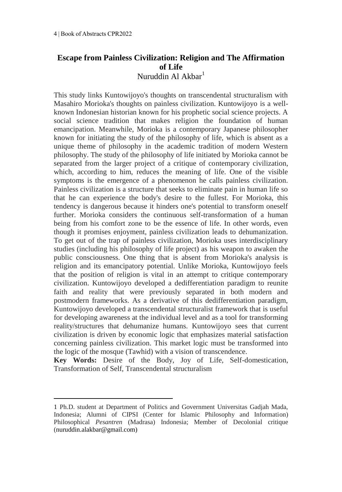# <span id="page-9-0"></span>**Escape from Painless Civilization: Religion and The Affirmation of Life** Nuruddin Al Akbar<sup>1</sup>

This study links Kuntowijoyo's thoughts on transcendental structuralism with Masahiro Morioka's thoughts on painless civilization. Kuntowijoyo is a wellknown Indonesian historian known for his prophetic social science projects. A social science tradition that makes religion the foundation of human emancipation. Meanwhile, Morioka is a contemporary Japanese philosopher known for initiating the study of the philosophy of life, which is absent as a unique theme of philosophy in the academic tradition of modern Western philosophy. The study of the philosophy of life initiated by Morioka cannot be separated from the larger project of a critique of contemporary civilization, which, according to him, reduces the meaning of life. One of the visible symptoms is the emergence of a phenomenon he calls painless civilization. Painless civilization is a structure that seeks to eliminate pain in human life so that he can experience the body's desire to the fullest. For Morioka, this tendency is dangerous because it hinders one's potential to transform oneself further. Morioka considers the continuous self-transformation of a human being from his comfort zone to be the essence of life. In other words, even though it promises enjoyment, painless civilization leads to dehumanization. To get out of the trap of painless civilization, Morioka uses interdisciplinary studies (including his philosophy of life project) as his weapon to awaken the public consciousness. One thing that is absent from Morioka's analysis is religion and its emancipatory potential. Unlike Morioka, Kuntowijoyo feels that the position of religion is vital in an attempt to critique contemporary civilization. Kuntowijoyo developed a dedifferentiation paradigm to reunite faith and reality that were previously separated in both modern and postmodern frameworks. As a derivative of this dedifferentiation paradigm, Kuntowijoyo developed a transcendental structuralist framework that is useful for developing awareness at the individual level and as a tool for transforming reality/structures that dehumanize humans. Kuntowijoyo sees that current civilization is driven by economic logic that emphasizes material satisfaction concerning painless civilization. This market logic must be transformed into the logic of the mosque (Tawhid) with a vision of transcendence.

**Key Words:** Desire of the Body, Joy of Life, Self-domestication, Transformation of Self, Transcendental structuralism

<sup>1</sup> Ph.D. student at Department of Politics and Government Universitas Gadjah Mada, Indonesia; Alumni of CIPSI (Center for Islamic Philosophy and Information) Philosophical *Pesantren* (Madrasa) Indonesia; Member of Decolonial critique (nuruddin.alakbar@gmail.com)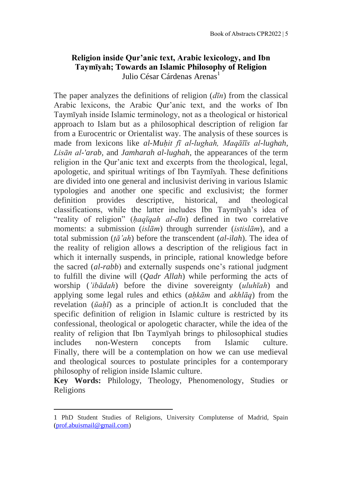# <span id="page-10-0"></span>**Religion inside Qur'anic text, Arabic lexicology, and Ibn Taymīyah; Towards an Islamic Philosophy of Religion** Julio César Cárdenas Arenas<sup>1</sup>

The paper analyzes the definitions of religion (*dīn*) from the classical Arabic lexicons, the Arabic Qur'anic text, and the works of Ibn Taymīyah inside Islamic terminology, not as a theological or historical approach to Islam but as a philosophical description of religion far from a Eurocentric or Orientalist way. The analysis of these sources is made from lexicons like *al-Muḥit fī al-lughah, Maqāīīs al-lughah, Lisān al-'arab,* and *Jamharah al-lughah*, the appearances of the term religion in the Qur'anic text and excerpts from the theological, legal, apologetic, and spiritual writings of Ibn Taymīyah. These definitions are divided into one general and inclusivist deriving in various Islamic typologies and another one specific and exclusivist; the former definition provides descriptive, historical, and theological classifications, while the latter includes Ibn Taymīyah's idea of "reality of religion" (*ḥaqīqah al-dīn*) defined in two correlative moments: a submission (*islām*) through surrender (*istislām*), and a total submission (*ṭā'ah*) before the transcendent (*al-ilah*). The idea of the reality of religion allows a description of the religious fact in which it internally suspends, in principle, rational knowledge before the sacred (*al-rabb*) and externally suspends one's rational judgment to fulfill the divine will (*Qadr Allah*) while performing the acts of worship (*'ibādah*) before the divine sovereignty (*uluhīah*) and applying some legal rules and ethics (*aḥkām* and *akhlāq*) from the revelation (*ūaḥī*) as a principle of action.It is concluded that the specific definition of religion in Islamic culture is restricted by its confessional, theological or apologetic character, while the idea of the reality of religion that Ibn Taymīyah brings to philosophical studies includes non-Western concepts from Islamic culture. Finally, there will be a contemplation on how we can use medieval and theological sources to postulate principles for a contemporary philosophy of religion inside Islamic culture.

**Key Words:** Philology, Theology, Phenomenology, Studies or Religions

<sup>1</sup> PhD Student Studies of Religions, University Complutense of Madrid, Spain [\(prof.abuismail@gmail.com\)](mailto:prof.abuismail@gmail.com)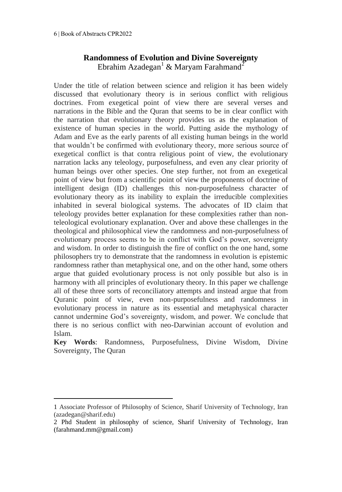# **Randomness of Evolution and Divine Sovereignty** Ebrahim Azadegan<sup>1</sup> & Maryam Farahmand<sup>2</sup>

<span id="page-11-0"></span>Under the title of relation between science and religion it has been widely discussed that evolutionary theory is in serious conflict with religious doctrines. From exegetical point of view there are several verses and narrations in the Bible and the Quran that seems to be in clear conflict with the narration that evolutionary theory provides us as the explanation of existence of human species in the world. Putting aside the mythology of Adam and Eve as the early parents of all existing human beings in the world that wouldn't be confirmed with evolutionary theory, more serious source of exegetical conflict is that contra religious point of view, the evolutionary narration lacks any teleology, purposefulness, and even any clear priority of human beings over other species. One step further, not from an exegetical point of view but from a scientific point of view the proponents of doctrine of intelligent design (ID) challenges this non-purposefulness character of evolutionary theory as its inability to explain the irreducible complexities inhabited in several biological systems. The advocates of ID claim that teleology provides better explanation for these complexities rather than nonteleological evolutionary explanation. Over and above these challenges in the theological and philosophical view the randomness and non-purposefulness of evolutionary process seems to be in conflict with God's power, sovereignty and wisdom. In order to distinguish the fire of conflict on the one hand, some philosophers try to demonstrate that the randomness in evolution is epistemic randomness rather than metaphysical one, and on the other hand, some others argue that guided evolutionary process is not only possible but also is in harmony with all principles of evolutionary theory. In this paper we challenge all of these three sorts of reconciliatory attempts and instead argue that from Quranic point of view, even non-purposefulness and randomness in evolutionary process in nature as its essential and metaphysical character cannot undermine God's sovereignty, wisdom, and power. We conclude that there is no serious conflict with neo-Darwinian account of evolution and Islam.

**Key Words**: Randomness, Purposefulness, Divine Wisdom, Divine Sovereignty, The Quran

<sup>1</sup> Associate Professor of Philosophy of Science, Sharif University of Technology, Iran (azadegan@sharif.edu)

<sup>2</sup> Phd Student in philosophy of science, Sharif University of Technology, Iran (farahmand.mm@gmail.com)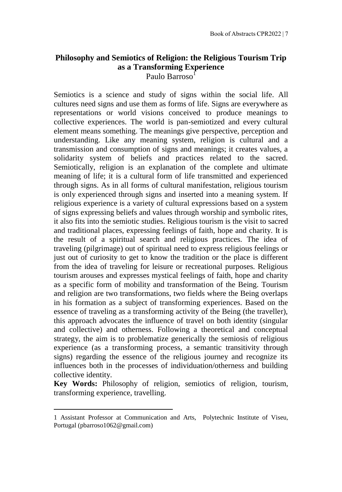### <span id="page-12-0"></span>**Philosophy and Semiotics of Religion: the Religious Tourism Trip as a Transforming Experience** Paulo Barroso<sup>1</sup>

Semiotics is a science and study of signs within the social life. All cultures need signs and use them as forms of life. Signs are everywhere as representations or world visions conceived to produce meanings to collective experiences. The world is pan-semiotized and every cultural element means something. The meanings give perspective, perception and understanding. Like any meaning system, religion is cultural and a transmission and consumption of signs and meanings; it creates values, a solidarity system of beliefs and practices related to the sacred. Semiotically, religion is an explanation of the complete and ultimate meaning of life; it is a cultural form of life transmitted and experienced through signs. As in all forms of cultural manifestation, religious tourism is only experienced through signs and inserted into a meaning system. If religious experience is a variety of cultural expressions based on a system of signs expressing beliefs and values through worship and symbolic rites, it also fits into the semiotic studies. Religious tourism is the visit to sacred and traditional places, expressing feelings of faith, hope and charity. It is the result of a spiritual search and religious practices. The idea of traveling (pilgrimage) out of spiritual need to express religious feelings or just out of curiosity to get to know the tradition or the place is different from the idea of traveling for leisure or recreational purposes. Religious tourism arouses and expresses mystical feelings of faith, hope and charity as a specific form of mobility and transformation of the Being. Tourism and religion are two transformations, two fields where the Being overlaps in his formation as a subject of transforming experiences. Based on the essence of traveling as a transforming activity of the Being (the traveller), this approach advocates the influence of travel on both identity (singular and collective) and otherness. Following a theoretical and conceptual strategy, the aim is to problematize generically the semiosis of religious experience (as a transforming process, a semantic transitivity through signs) regarding the essence of the religious journey and recognize its influences both in the processes of individuation/otherness and building collective identity.

**Key Words:** Philosophy of religion, semiotics of religion, tourism, transforming experience, travelling.

<sup>1</sup> Assistant Professor at Communication and Arts, Polytechnic Institute of Viseu, Portugal (pbarroso1062@gmail.com)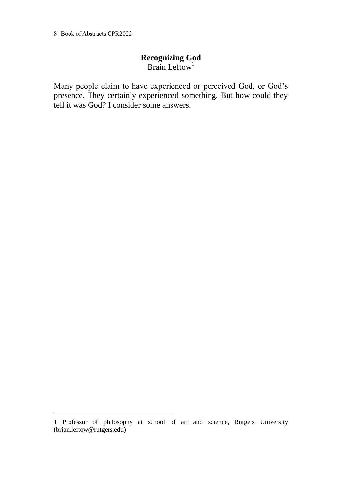<span id="page-13-0"></span>8 | Book of Abstracts CPR2022

1

# **Recognizing God**

 $Braning$ 

Many people claim to have experienced or perceived God, or God's presence. They certainly experienced something. But how could they tell it was God? I consider some answers.

<sup>1</sup> Professor of philosophy at school of art and science, Rutgers University (brian.leftow@rutgers.edu)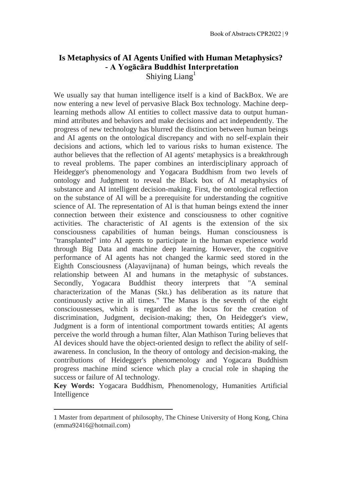### <span id="page-14-0"></span>**Is Metaphysics of AI Agents Unified with Human Metaphysics? - A Yogācāra Buddhist Interpretation** Shiying Liang<sup>1</sup>

We usually say that human intelligence itself is a kind of BackBox. We are now entering a new level of pervasive Black Box technology. Machine deeplearning methods allow AI entities to collect massive data to output humanmind attributes and behaviors and make decisions and act independently. The progress of new technology has blurred the distinction between human beings and AI agents on the ontological discrepancy and with no self-explain their decisions and actions, which led to various risks to human existence. The author believes that the reflection of AI agents' metaphysics is a breakthrough to reveal problems. The paper combines an interdisciplinary approach of Heidegger's phenomenology and Yogacara Buddhism from two levels of ontology and Judgment to reveal the Black box of AI metaphysics of substance and AI intelligent decision-making. First, the ontological reflection on the substance of AI will be a prerequisite for understanding the cognitive science of AI. The representation of AI is that human beings extend the inner connection between their existence and consciousness to other cognitive activities. The characteristic of AI agents is the extension of the six consciousness capabilities of human beings. Human consciousness is "transplanted" into AI agents to participate in the human experience world through Big Data and machine deep learning. However, the cognitive performance of AI agents has not changed the karmic seed stored in the Eighth Consciousness (Alayavijnana) of human beings, which reveals the relationship between AI and humans in the metaphysic of substances. Secondly, Yogacara Buddhist theory interprets that "A seminal characterization of the Manas (Skt.) has deliberation as its nature that continuously active in all times." The Manas is the seventh of the eight consciousnesses, which is regarded as the locus for the creation of discrimination, Judgment, decision-making; then, On Heidegger's view, Judgment is a form of intentional comportment towards entities; AI agents perceive the world through a human filter, Alan Mathison Turing believes that AI devices should have the object-oriented design to reflect the ability of selfawareness. In conclusion, In the theory of ontology and decision-making, the contributions of Heidegger's phenomenology and Yogacara Buddhism progress machine mind science which play a crucial role in shaping the success or failure of AI technology.

**Key Words:** Yogacara Buddhism, Phenomenology, Humanities Artificial Intelligence

<sup>1</sup> Master from department of philosophy, The Chinese University of Hong Kong, China (emma92416@hotmail.com)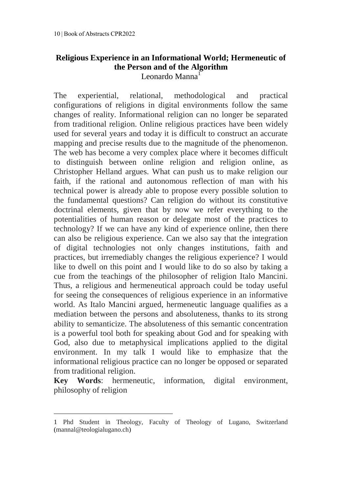### <span id="page-15-0"></span>**Religious Experience in an Informational World; Hermeneutic of the Person and of the Algorithm** Leonardo Manna<sup>1</sup>

The experiential, relational, methodological and practical configurations of religions in digital environments follow the same changes of reality. Informational religion can no longer be separated from traditional religion. Online religious practices have been widely used for several years and today it is difficult to construct an accurate mapping and precise results due to the magnitude of the phenomenon. The web has become a very complex place where it becomes difficult to distinguish between online religion and religion online, as Christopher Helland argues. What can push us to make religion our faith, if the rational and autonomous reflection of man with his technical power is already able to propose every possible solution to the fundamental questions? Can religion do without its constitutive doctrinal elements, given that by now we refer everything to the potentialities of human reason or delegate most of the practices to technology? If we can have any kind of experience online, then there can also be religious experience. Can we also say that the integration of digital technologies not only changes institutions, faith and practices, but irremediably changes the religious experience? I would like to dwell on this point and I would like to do so also by taking a cue from the teachings of the philosopher of religion Italo Mancini. Thus, a religious and hermeneutical approach could be today useful for seeing the consequences of religious experience in an informative world. As Italo Mancini argued, hermeneutic language qualifies as a mediation between the persons and absoluteness, thanks to its strong ability to semanticize. The absoluteness of this semantic concentration is a powerful tool both for speaking about God and for speaking with God, also due to metaphysical implications applied to the digital environment. In my talk I would like to emphasize that the informational religious practice can no longer be opposed or separated from traditional religion.

**Key Words**: hermeneutic, information, digital environment, philosophy of religion

<sup>1</sup> Phd Student in Theology, Faculty of Theology of Lugano, Switzerland (mannal@teologialugano.ch)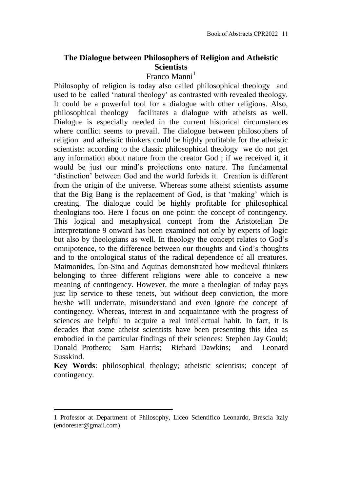# <span id="page-16-0"></span>**The Dialogue between Philosophers of Religion and Atheistic Scientists**

### Franco Manni<sup>1</sup>

Philosophy of religion is today also called philosophical theology and used to be called 'natural theology' as contrasted with revealed theology. It could be a powerful tool for a dialogue with other religions. Also, philosophical theology facilitates a dialogue with atheists as well. Dialogue is especially needed in the current historical circumstances where conflict seems to prevail. The dialogue between philosophers of religion and atheistic thinkers could be highly profitable for the atheistic scientists: according to the classic philosophical theology we do not get any information about nature from the creator God ; if we received it, it would be just our mind's projections onto nature. The fundamental 'distinction' between God and the world forbids it. Creation is different from the origin of the universe. Whereas some atheist scientists assume that the Big Bang is the replacement of God, is that 'making' which is creating. The dialogue could be highly profitable for philosophical theologians too. Here I focus on one point: the concept of contingency. This logical and metaphysical concept from the Aristotelian De Interpretatione 9 onward has been examined not only by experts of logic but also by theologians as well. In theology the concept relates to God's omnipotence, to the difference between our thoughts and God's thoughts and to the ontological status of the radical dependence of all creatures. Maimonides, Ibn-Sina and Aquinas demonstrated how medieval thinkers belonging to three different religions were able to conceive a new meaning of contingency. However, the more a theologian of today pays just lip service to these tenets, but without deep conviction, the more he/she will underrate, misunderstand and even ignore the concept of contingency. Whereas, interest in and acquaintance with the progress of sciences are helpful to acquire a real intellectual habit. In fact, it is decades that some atheist scientists have been presenting this idea as embodied in the particular findings of their sciences: Stephen Jay Gould; Donald Prothero; Sam Harris; Richard Dawkins; and Leonard Susskind.

**Key Words**: philosophical theology; atheistic scientists; concept of contingency.

<sup>1</sup> Professor at Department of Philosophy, Liceo Scientifico Leonardo, Brescia Italy (endorester@gmail.com)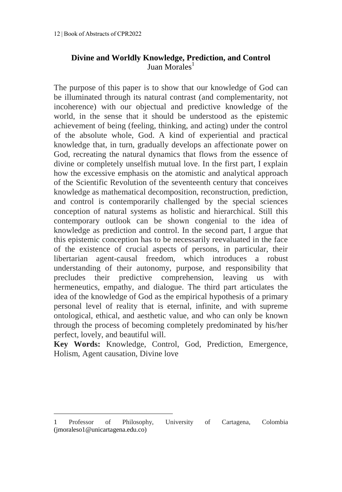# <span id="page-17-0"></span>**Divine and Worldly Knowledge, Prediction, and Control** Juan Morales<sup>1</sup>

The purpose of this paper is to show that our knowledge of God can be illuminated through its natural contrast (and complementarity, not incoherence) with our objectual and predictive knowledge of the world, in the sense that it should be understood as the epistemic achievement of being (feeling, thinking, and acting) under the control of the absolute whole, God. A kind of experiential and practical knowledge that, in turn, gradually develops an affectionate power on God, recreating the natural dynamics that flows from the essence of divine or completely unselfish mutual love. In the first part, I explain how the excessive emphasis on the atomistic and analytical approach of the Scientific Revolution of the seventeenth century that conceives knowledge as mathematical decomposition, reconstruction, prediction, and control is contemporarily challenged by the special sciences conception of natural systems as holistic and hierarchical. Still this contemporary outlook can be shown congenial to the idea of knowledge as prediction and control. In the second part, I argue that this epistemic conception has to be necessarily reevaluated in the face of the existence of crucial aspects of persons, in particular, their libertarian agent-causal freedom, which introduces a robust understanding of their autonomy, purpose, and responsibility that precludes their predictive comprehension, leaving us with hermeneutics, empathy, and dialogue. The third part articulates the idea of the knowledge of God as the empirical hypothesis of a primary personal level of reality that is eternal, infinite, and with supreme ontological, ethical, and aesthetic value, and who can only be known through the process of becoming completely predominated by his/her perfect, lovely, and beautiful will.

**Key Words:** Knowledge, Control, God, Prediction, Emergence, Holism, Agent causation, Divine love

<sup>1</sup> Professor of Philosophy, University of Cartagena, Colombia (jmoraleso1@unicartagena.edu.co)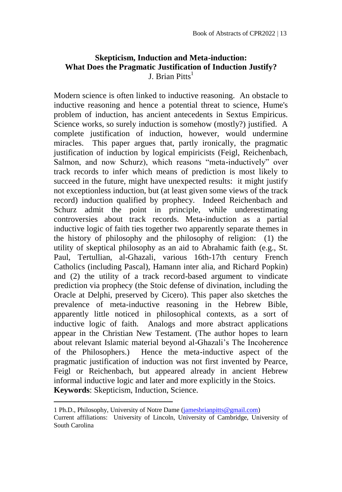# <span id="page-18-0"></span>**Skepticism, Induction and Meta-induction: What Does the Pragmatic Justification of Induction Justify?** J. Brian Pitts $<sup>1</sup>$ </sup>

Modern science is often linked to inductive reasoning. An obstacle to inductive reasoning and hence a potential threat to science, Hume's problem of induction, has ancient antecedents in Sextus Empiricus. Science works, so surely induction is somehow (mostly?) justified. A complete justification of induction, however, would undermine miracles. This paper argues that, partly ironically, the pragmatic justification of induction by logical empiricists (Feigl, Reichenbach, Salmon, and now Schurz), which reasons "meta-inductively" over track records to infer which means of prediction is most likely to succeed in the future, might have unexpected results: it might justify not exceptionless induction, but (at least given some views of the track record) induction qualified by prophecy. Indeed Reichenbach and Schurz admit the point in principle, while underestimating controversies about track records. Meta-induction as a partial inductive logic of faith ties together two apparently separate themes in the history of philosophy and the philosophy of religion: (1) the utility of skeptical philosophy as an aid to Abrahamic faith (e.g., St. Paul, Tertullian, al-Ghazali, various 16th-17th century French Catholics (including Pascal), Hamann inter alia, and Richard Popkin) and (2) the utility of a track record-based argument to vindicate prediction via prophecy (the Stoic defense of divination, including the Oracle at Delphi, preserved by Cicero). This paper also sketches the prevalence of meta-inductive reasoning in the Hebrew Bible, apparently little noticed in philosophical contexts, as a sort of inductive logic of faith. Analogs and more abstract applications appear in the Christian New Testament. (The author hopes to learn about relevant Islamic material beyond al-Ghazali's The Incoherence of the Philosophers.) Hence the meta-inductive aspect of the pragmatic justification of induction was not first invented by Pearce, Feigl or Reichenbach, but appeared already in ancient Hebrew informal inductive logic and later and more explicitly in the Stoics. **Keywords**: Skepticism, Induction, Science.

 $\overline{a}$ 

<sup>1</sup> Ph.D., Philosophy, University of Notre Dame [\(jamesbrianpitts@gmail.com\)](mailto:jamesbrianpitts@gmail.com) Current affiliations: University of Lincoln, University of Cambridge, University of South Carolina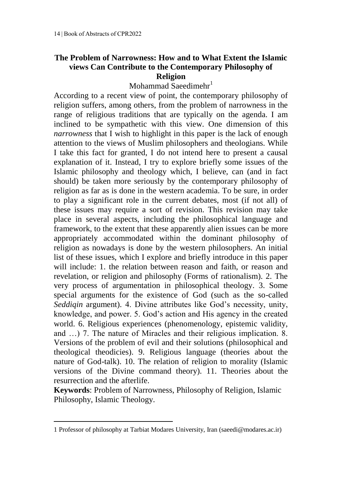# <span id="page-19-0"></span>**The Problem of Narrowness: How and to What Extent the Islamic views Can Contribute to the Contemporary Philosophy of Religion**

Mohammad Saeedimehr<sup>1</sup>

According to a recent view of point, the contemporary philosophy of religion suffers, among others, from the problem of narrowness in the range of religious traditions that are typically on the agenda. I am inclined to be sympathetic with this view. One dimension of this *narrowness* that I wish to highlight in this paper is the lack of enough attention to the views of Muslim philosophers and theologians. While I take this fact for granted, I do not intend here to present a causal explanation of it. Instead, I try to explore briefly some issues of the Islamic philosophy and theology which, I believe, can (and in fact should) be taken more seriously by the contemporary philosophy of religion as far as is done in the western academia. To be sure, in order to play a significant role in the current debates, most (if not all) of these issues may require a sort of revision. This revision may take place in several aspects, including the philosophical language and framework, to the extent that these apparently alien issues can be more appropriately accommodated within the dominant philosophy of religion as nowadays is done by the western philosophers. An initial list of these issues, which I explore and briefly introduce in this paper will include: 1. the relation between reason and faith, or reason and revelation, or religion and philosophy (Forms of rationalism). 2. The very process of argumentation in philosophical theology. 3. Some special arguments for the existence of God (such as the so-called *Seddiqin* argument). 4. Divine attributes like God's necessity, unity, knowledge, and power. 5. God's action and His agency in the created world. 6. Religious experiences (phenomenology, epistemic validity, and …) 7. The nature of Miracles and their religious implication. 8. Versions of the problem of evil and their solutions (philosophical and theological theodicies). 9. Religious language (theories about the nature of God-talk). 10. The relation of religion to morality (Islamic versions of the Divine command theory). 11. Theories about the resurrection and the afterlife.

**Keywords**: Problem of Narrowness, Philosophy of Religion, Islamic Philosophy, Islamic Theology.

<sup>1</sup> Professor of philosophy at Tarbiat Modares University, Iran (saeedi@modares.ac.ir)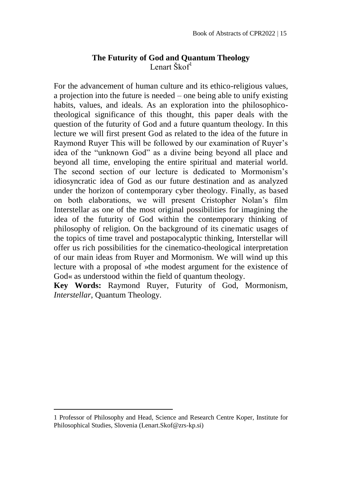# **The Futurity of God and Quantum Theology** Lenart Škof $l$

<span id="page-20-0"></span>For the advancement of human culture and its ethico-religious values, a projection into the future is needed – one being able to unify existing habits, values, and ideals. As an exploration into the philosophicotheological significance of this thought, this paper deals with the question of the futurity of God and a future quantum theology. In this lecture we will first present God as related to the idea of the future in Raymond Ruyer This will be followed by our examination of Ruyer's idea of the "unknown God" as a divine being beyond all place and beyond all time, enveloping the entire spiritual and material world. The second section of our lecture is dedicated to Mormonism's idiosyncratic idea of God as our future destination and as analyzed under the horizon of contemporary cyber theology. Finally, as based on both elaborations, we will present Cristopher Nolan's film Interstellar as one of the most original possibilities for imagining the idea of the futurity of God within the contemporary thinking of philosophy of religion. On the background of its cinematic usages of the topics of time travel and postapocalyptic thinking, Interstellar will offer us rich possibilities for the cinematico-theological interpretation of our main ideas from Ruyer and Mormonism. We will wind up this lecture with a proposal of »the modest argument for the existence of God« as understood within the field of quantum theology.

**Key Words:** Raymond Ruyer, Futurity of God, Mormonism, *Interstellar*, Quantum Theology.

<sup>1</sup> Professor of Philosophy and Head, Science and Research Centre Koper, Institute for Philosophical Studies, Slovenia (Lenart.Skof@zrs-kp.si)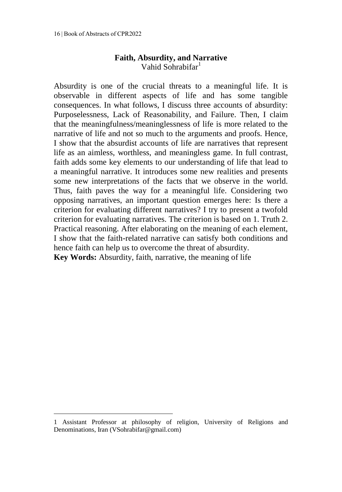# **Faith, Absurdity, and Narrative** Vahid Sohrabifar<sup>1</sup>

<span id="page-21-0"></span>Absurdity is one of the crucial threats to a meaningful life. It is observable in different aspects of life and has some tangible consequences. In what follows, I discuss three accounts of absurdity: Purposelessness, Lack of Reasonability, and Failure. Then, I claim that the meaningfulness/meaninglessness of life is more related to the narrative of life and not so much to the arguments and proofs. Hence, I show that the absurdist accounts of life are narratives that represent life as an aimless, worthless, and meaningless game. In full contrast, faith adds some key elements to our understanding of life that lead to a meaningful narrative. It introduces some new realities and presents some new interpretations of the facts that we observe in the world. Thus, faith paves the way for a meaningful life. Considering two opposing narratives, an important question emerges here: Is there a criterion for evaluating different narratives? I try to present a twofold criterion for evaluating narratives. The criterion is based on 1. Truth 2. Practical reasoning. After elaborating on the meaning of each element, I show that the faith-related narrative can satisfy both conditions and hence faith can help us to overcome the threat of absurdity. **Key Words:** Absurdity, faith, narrative, the meaning of life

<sup>1</sup> Assistant Professor at philosophy of religion, University of Religions and Denominations, Iran (VSohrabifar@gmail.com)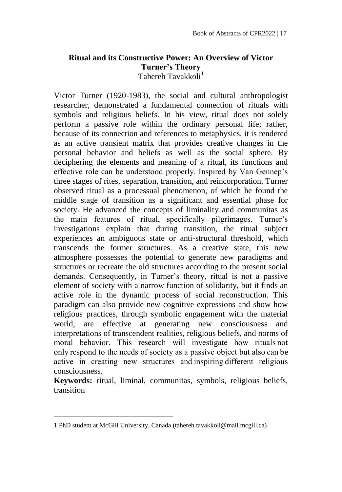### <span id="page-22-0"></span>**Ritual and its Constructive Power: An Overview of Victor Turner's Theory** Tahereh Tavakkoli<sup>1</sup>

Victor Turner (1920-1983), the social and cultural anthropologist researcher, demonstrated a fundamental connection of rituals with symbols and religious beliefs. In his view, ritual does not solely perform a passive role within the ordinary personal life; rather, because of its connection and references to metaphysics, it is rendered as an active transient matrix that provides creative changes in the personal behavior and beliefs as well as the social sphere. By deciphering the elements and meaning of a ritual, its functions and effective role can be understood properly. Inspired by Van Gennep's three stages of rites, separation, transition, and reincorporation, Turner observed ritual as a processual phenomenon, of which he found the middle stage of transition as a significant and essential phase for society. He advanced the concepts of liminality and communitas as the main features of ritual, specifically pilgrimages. Turner's investigations explain that during transition, the ritual subject experiences an ambiguous state or anti-structural threshold, which transcends the former structures. As a creative state, this new atmosphere possesses the potential to generate new paradigms and structures or recreate the old structures according to the present social demands. Consequently, in Turner's theory, ritual is not a passive element of society with a narrow function of solidarity, but it finds an active role in the dynamic process of social reconstruction. This paradigm can also provide new cognitive expressions and show how religious practices, through symbolic engagement with the material world, are effective at generating new consciousness and interpretations of transcendent realities, religious beliefs, and norms of moral behavior. This research will investigate how rituals not only respond to the needs of society as a passive object but also can be active in creating new structures and inspiring different religious consciousness.

**Keywords:** ritual, liminal, communitas, symbols, religious beliefs, transition

 $\overline{a}$ 

<sup>1</sup> PhD student at McGill University, Canada (tahereh.tavakkoli@mail.mcgill.ca)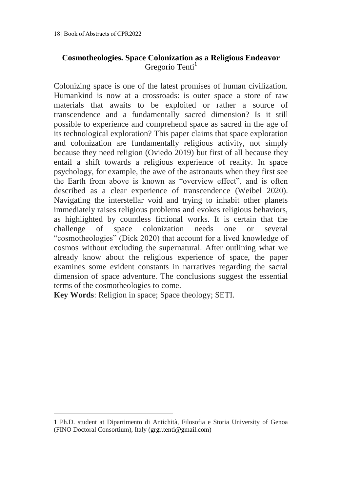# <span id="page-23-0"></span>**Cosmotheologies. Space Colonization as a Religious Endeavor** Gregorio Tenti<sup>1</sup>

Colonizing space is one of the latest promises of human civilization. Humankind is now at a crossroads: is outer space a store of raw materials that awaits to be exploited or rather a source of transcendence and a fundamentally sacred dimension? Is it still possible to experience and comprehend space as sacred in the age of its technological exploration? This paper claims that space exploration and colonization are fundamentally religious activity, not simply because they need religion (Oviedo 2019) but first of all because they entail a shift towards a religious experience of reality. In space psychology, for example, the awe of the astronauts when they first see the Earth from above is known as "overview effect", and is often described as a clear experience of transcendence (Weibel 2020). Navigating the interstellar void and trying to inhabit other planets immediately raises religious problems and evokes religious behaviors, as highlighted by countless fictional works. It is certain that the challenge of space colonization needs one or several "cosmotheologies" (Dick 2020) that account for a lived knowledge of cosmos without excluding the supernatural. After outlining what we already know about the religious experience of space, the paper examines some evident constants in narratives regarding the sacral dimension of space adventure. The conclusions suggest the essential terms of the cosmotheologies to come.

**Key Words**: Religion in space; Space theology; SETI.

1

<sup>1</sup> Ph.D. student at Dipartimento di Antichità, Filosofia e Storia University of Genoa (FINO Doctoral Consortium), Italy (grgr.tenti@gmail.com)